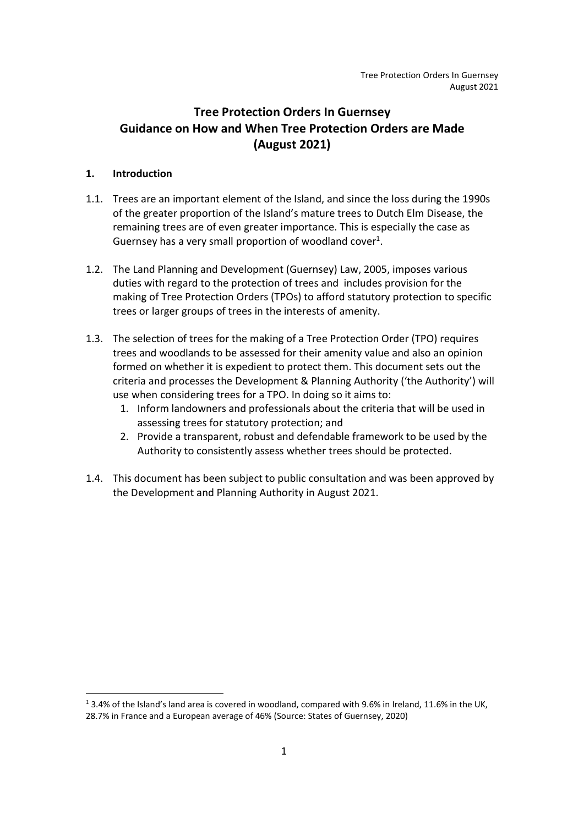# Tree Protection Orders In Guernsey Guidance on How and When Tree Protection Orders are Made (August 2021)

# 1. Introduction

- 1.1. Trees are an important element of the Island, and since the loss during the 1990s of the greater proportion of the Island's mature trees to Dutch Elm Disease, the remaining trees are of even greater importance. This is especially the case as Guernsey has a very small proportion of woodland cover<sup>1</sup>.
- 1.2. The Land Planning and Development (Guernsey) Law, 2005, imposes various duties with regard to the protection of trees and includes provision for the making of Tree Protection Orders (TPOs) to afford statutory protection to specific trees or larger groups of trees in the interests of amenity.
- 1.3. The selection of trees for the making of a Tree Protection Order (TPO) requires trees and woodlands to be assessed for their amenity value and also an opinion formed on whether it is expedient to protect them. This document sets out the criteria and processes the Development & Planning Authority ('the Authority') will use when considering trees for a TPO. In doing so it aims to:
	- 1. Inform landowners and professionals about the criteria that will be used in assessing trees for statutory protection; and
	- 2. Provide a transparent, robust and defendable framework to be used by the Authority to consistently assess whether trees should be protected.
- 1.4. This document has been subject to public consultation and was been approved by the Development and Planning Authority in August 2021.

<sup>&</sup>lt;sup>1</sup> 3.4% of the Island's land area is covered in woodland, compared with 9.6% in Ireland, 11.6% in the UK,

<sup>28.7%</sup> in France and a European average of 46% (Source: States of Guernsey, 2020)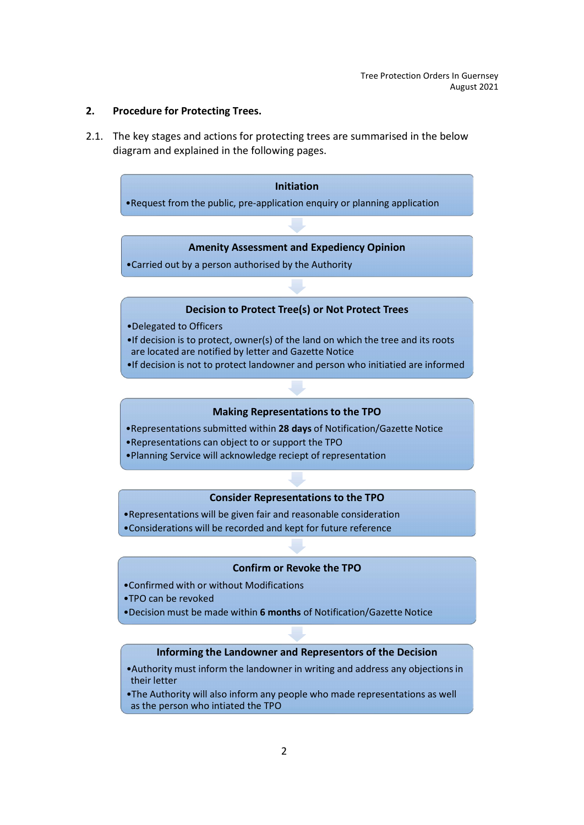#### 2. Procedure for Protecting Trees.

2.1. The key stages and actions for protecting trees are summarised in the below diagram and explained in the following pages.

#### Initiation

•Request from the public, pre-application enquiry or planning application

#### Amenity Assessment and Expediency Opinion

•Carried out by a person authorised by the Authority

#### Decision to Protect Tree(s) or Not Protect Trees

- •Delegated to Officers
- •If decision is to protect, owner(s) of the land on which the tree and its roots are located are notified by letter and Gazette Notice
- •If decision is not to protect landowner and person who initiatied are informed

#### Making Representations to the TPO

- •Representations submitted within 28 days of Notification/Gazette Notice
- •Representations can object to or support the TPO
- •Planning Service will acknowledge reciept of representation

## Consider Representations to the TPO

- •Representations will be given fair and reasonable consideration
- •Considerations will be recorded and kept for future reference

#### Confirm or Revoke the TPO

- •Confirmed with or without Modifications
- •TPO can be revoked
- •Decision must be made within 6 months of Notification/Gazette Notice

## Informing the Landowner and Representors of the Decision

- •Authority must inform the landowner in writing and address any objections in their letter
- •The Authority will also inform any people who made representations as well as the person who intiated the TPO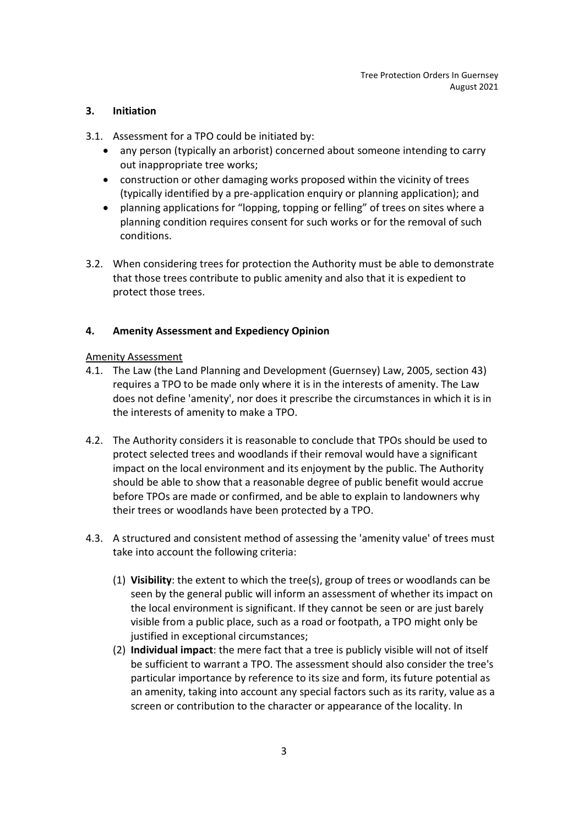# 3. Initiation

- 3.1. Assessment for a TPO could be initiated by:
	- any person (typically an arborist) concerned about someone intending to carry out inappropriate tree works;
	- construction or other damaging works proposed within the vicinity of trees (typically identified by a pre-application enquiry or planning application); and
	- planning applications for "lopping, topping or felling" of trees on sites where a planning condition requires consent for such works or for the removal of such conditions.
- 3.2. When considering trees for protection the Authority must be able to demonstrate that those trees contribute to public amenity and also that it is expedient to protect those trees.

# 4. Amenity Assessment and Expediency Opinion

## Amenity Assessment

- 4.1. The Law (the Land Planning and Development (Guernsey) Law, 2005, section 43) requires a TPO to be made only where it is in the interests of amenity. The Law does not define 'amenity', nor does it prescribe the circumstances in which it is in the interests of amenity to make a TPO.
- 4.2. The Authority considers it is reasonable to conclude that TPOs should be used to protect selected trees and woodlands if their removal would have a significant impact on the local environment and its enjoyment by the public. The Authority should be able to show that a reasonable degree of public benefit would accrue before TPOs are made or confirmed, and be able to explain to landowners why their trees or woodlands have been protected by a TPO.
- 4.3. A structured and consistent method of assessing the 'amenity value' of trees must take into account the following criteria:
	- (1) Visibility: the extent to which the tree(s), group of trees or woodlands can be seen by the general public will inform an assessment of whether its impact on the local environment is significant. If they cannot be seen or are just barely visible from a public place, such as a road or footpath, a TPO might only be justified in exceptional circumstances;
	- (2) Individual impact: the mere fact that a tree is publicly visible will not of itself be sufficient to warrant a TPO. The assessment should also consider the tree's particular importance by reference to its size and form, its future potential as an amenity, taking into account any special factors such as its rarity, value as a screen or contribution to the character or appearance of the locality. In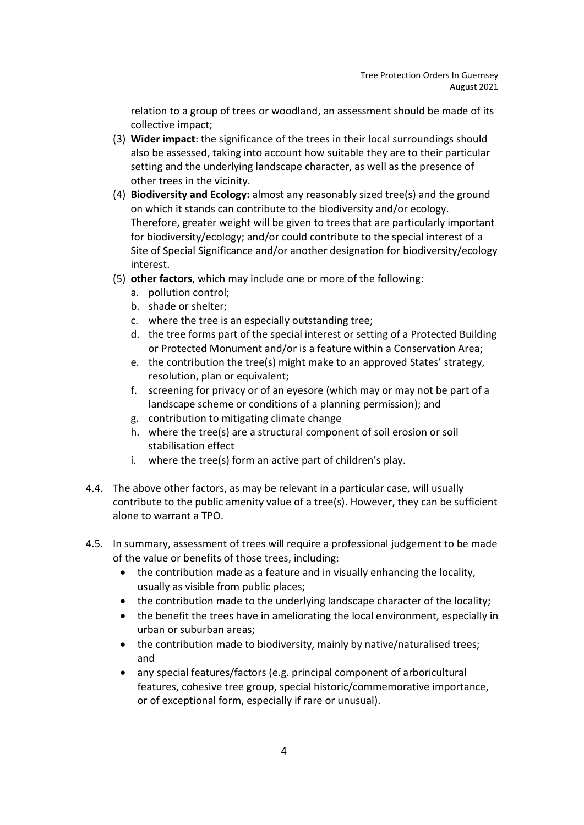relation to a group of trees or woodland, an assessment should be made of its collective impact;

- (3) Wider impact: the significance of the trees in their local surroundings should also be assessed, taking into account how suitable they are to their particular setting and the underlying landscape character, as well as the presence of other trees in the vicinity.
- (4) Biodiversity and Ecology: almost any reasonably sized tree(s) and the ground on which it stands can contribute to the biodiversity and/or ecology. Therefore, greater weight will be given to trees that are particularly important for biodiversity/ecology; and/or could contribute to the special interest of a Site of Special Significance and/or another designation for biodiversity/ecology interest.
- (5) other factors, which may include one or more of the following:
	- a. pollution control;
	- b. shade or shelter;
	- c. where the tree is an especially outstanding tree;
	- d. the tree forms part of the special interest or setting of a Protected Building or Protected Monument and/or is a feature within a Conservation Area;
	- e. the contribution the tree(s) might make to an approved States' strategy, resolution, plan or equivalent;
	- f. screening for privacy or of an eyesore (which may or may not be part of a landscape scheme or conditions of a planning permission); and
	- g. contribution to mitigating climate change
	- h. where the tree(s) are a structural component of soil erosion or soil stabilisation effect
	- i. where the tree(s) form an active part of children's play.
- 4.4. The above other factors, as may be relevant in a particular case, will usually contribute to the public amenity value of a tree(s). However, they can be sufficient alone to warrant a TPO.
- 4.5. In summary, assessment of trees will require a professional judgement to be made of the value or benefits of those trees, including:
	- the contribution made as a feature and in visually enhancing the locality, usually as visible from public places;
	- the contribution made to the underlying landscape character of the locality;
	- the benefit the trees have in ameliorating the local environment, especially in urban or suburban areas;
	- the contribution made to biodiversity, mainly by native/naturalised trees; and
	- any special features/factors (e.g. principal component of arboricultural features, cohesive tree group, special historic/commemorative importance, or of exceptional form, especially if rare or unusual).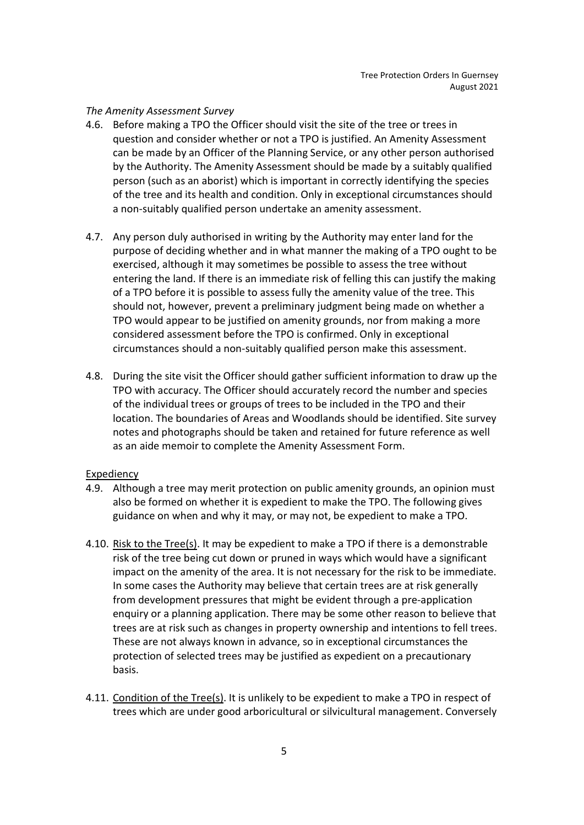#### The Amenity Assessment Survey

- 4.6. Before making a TPO the Officer should visit the site of the tree or trees in question and consider whether or not a TPO is justified. An Amenity Assessment can be made by an Officer of the Planning Service, or any other person authorised by the Authority. The Amenity Assessment should be made by a suitably qualified person (such as an aborist) which is important in correctly identifying the species of the tree and its health and condition. Only in exceptional circumstances should a non-suitably qualified person undertake an amenity assessment.
- 4.7. Any person duly authorised in writing by the Authority may enter land for the purpose of deciding whether and in what manner the making of a TPO ought to be exercised, although it may sometimes be possible to assess the tree without entering the land. If there is an immediate risk of felling this can justify the making of a TPO before it is possible to assess fully the amenity value of the tree. This should not, however, prevent a preliminary judgment being made on whether a TPO would appear to be justified on amenity grounds, nor from making a more considered assessment before the TPO is confirmed. Only in exceptional circumstances should a non-suitably qualified person make this assessment.
- 4.8. During the site visit the Officer should gather sufficient information to draw up the TPO with accuracy. The Officer should accurately record the number and species of the individual trees or groups of trees to be included in the TPO and their location. The boundaries of Areas and Woodlands should be identified. Site survey notes and photographs should be taken and retained for future reference as well as an aide memoir to complete the Amenity Assessment Form.

#### Expediency

- 4.9. Although a tree may merit protection on public amenity grounds, an opinion must also be formed on whether it is expedient to make the TPO. The following gives guidance on when and why it may, or may not, be expedient to make a TPO.
- 4.10. Risk to the Tree(s). It may be expedient to make a TPO if there is a demonstrable risk of the tree being cut down or pruned in ways which would have a significant impact on the amenity of the area. It is not necessary for the risk to be immediate. In some cases the Authority may believe that certain trees are at risk generally from development pressures that might be evident through a pre-application enquiry or a planning application. There may be some other reason to believe that trees are at risk such as changes in property ownership and intentions to fell trees. These are not always known in advance, so in exceptional circumstances the protection of selected trees may be justified as expedient on a precautionary basis.
- 4.11. Condition of the Tree(s). It is unlikely to be expedient to make a TPO in respect of trees which are under good arboricultural or silvicultural management. Conversely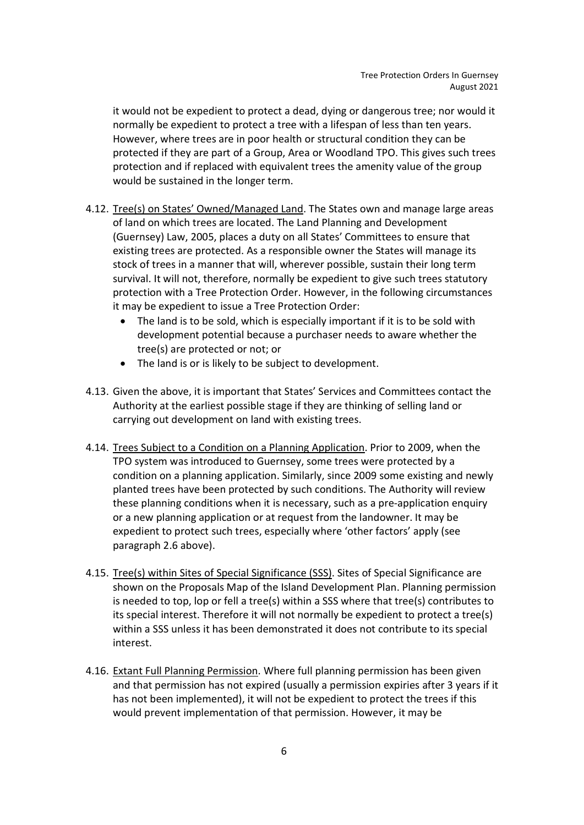it would not be expedient to protect a dead, dying or dangerous tree; nor would it normally be expedient to protect a tree with a lifespan of less than ten years. However, where trees are in poor health or structural condition they can be protected if they are part of a Group, Area or Woodland TPO. This gives such trees protection and if replaced with equivalent trees the amenity value of the group would be sustained in the longer term.

- 4.12. Tree(s) on States' Owned/Managed Land. The States own and manage large areas of land on which trees are located. The Land Planning and Development (Guernsey) Law, 2005, places a duty on all States' Committees to ensure that existing trees are protected. As a responsible owner the States will manage its stock of trees in a manner that will, wherever possible, sustain their long term survival. It will not, therefore, normally be expedient to give such trees statutory protection with a Tree Protection Order. However, in the following circumstances it may be expedient to issue a Tree Protection Order:
	- The land is to be sold, which is especially important if it is to be sold with development potential because a purchaser needs to aware whether the tree(s) are protected or not; or
	- The land is or is likely to be subject to development.
- 4.13. Given the above, it is important that States' Services and Committees contact the Authority at the earliest possible stage if they are thinking of selling land or carrying out development on land with existing trees.
- 4.14. Trees Subject to a Condition on a Planning Application. Prior to 2009, when the TPO system was introduced to Guernsey, some trees were protected by a condition on a planning application. Similarly, since 2009 some existing and newly planted trees have been protected by such conditions. The Authority will review these planning conditions when it is necessary, such as a pre-application enquiry or a new planning application or at request from the landowner. It may be expedient to protect such trees, especially where 'other factors' apply (see paragraph 2.6 above).
- 4.15. Tree(s) within Sites of Special Significance (SSS). Sites of Special Significance are shown on the Proposals Map of the Island Development Plan. Planning permission is needed to top, lop or fell a tree(s) within a SSS where that tree(s) contributes to its special interest. Therefore it will not normally be expedient to protect a tree(s) within a SSS unless it has been demonstrated it does not contribute to its special interest.
- 4.16. Extant Full Planning Permission. Where full planning permission has been given and that permission has not expired (usually a permission expiries after 3 years if it has not been implemented), it will not be expedient to protect the trees if this would prevent implementation of that permission. However, it may be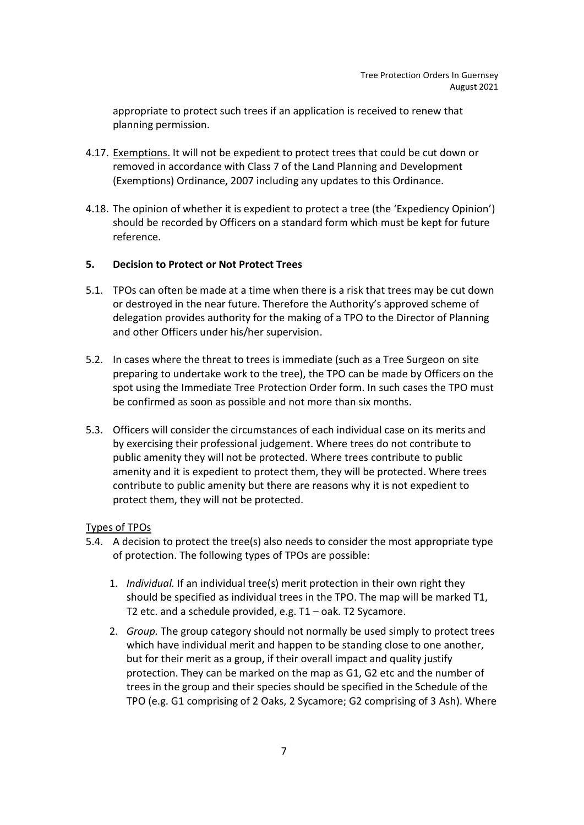appropriate to protect such trees if an application is received to renew that planning permission.

- 4.17. Exemptions. It will not be expedient to protect trees that could be cut down or removed in accordance with Class 7 of the Land Planning and Development (Exemptions) Ordinance, 2007 including any updates to this Ordinance.
- 4.18. The opinion of whether it is expedient to protect a tree (the 'Expediency Opinion') should be recorded by Officers on a standard form which must be kept for future reference.

## 5. Decision to Protect or Not Protect Trees

- 5.1. TPOs can often be made at a time when there is a risk that trees may be cut down or destroyed in the near future. Therefore the Authority's approved scheme of delegation provides authority for the making of a TPO to the Director of Planning and other Officers under his/her supervision.
- 5.2. In cases where the threat to trees is immediate (such as a Tree Surgeon on site preparing to undertake work to the tree), the TPO can be made by Officers on the spot using the Immediate Tree Protection Order form. In such cases the TPO must be confirmed as soon as possible and not more than six months.
- 5.3. Officers will consider the circumstances of each individual case on its merits and by exercising their professional judgement. Where trees do not contribute to public amenity they will not be protected. Where trees contribute to public amenity and it is expedient to protect them, they will be protected. Where trees contribute to public amenity but there are reasons why it is not expedient to protect them, they will not be protected.

## Types of TPOs

- 5.4. A decision to protect the tree(s) also needs to consider the most appropriate type of protection. The following types of TPOs are possible:
	- 1. Individual. If an individual tree(s) merit protection in their own right they should be specified as individual trees in the TPO. The map will be marked T1, T2 etc. and a schedule provided, e.g. T1 – oak. T2 Sycamore.
	- 2. Group. The group category should not normally be used simply to protect trees which have individual merit and happen to be standing close to one another, but for their merit as a group, if their overall impact and quality justify protection. They can be marked on the map as G1, G2 etc and the number of trees in the group and their species should be specified in the Schedule of the TPO (e.g. G1 comprising of 2 Oaks, 2 Sycamore; G2 comprising of 3 Ash). Where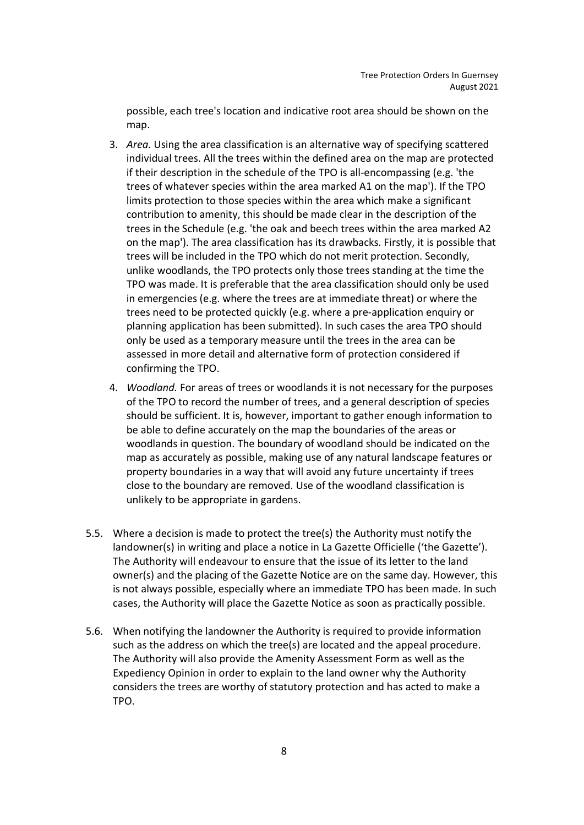possible, each tree's location and indicative root area should be shown on the map.

- 3. Area. Using the area classification is an alternative way of specifying scattered individual trees. All the trees within the defined area on the map are protected if their description in the schedule of the TPO is all-encompassing (e.g. 'the trees of whatever species within the area marked A1 on the map'). If the TPO limits protection to those species within the area which make a significant contribution to amenity, this should be made clear in the description of the trees in the Schedule (e.g. 'the oak and beech trees within the area marked A2 on the map'). The area classification has its drawbacks. Firstly, it is possible that trees will be included in the TPO which do not merit protection. Secondly, unlike woodlands, the TPO protects only those trees standing at the time the TPO was made. It is preferable that the area classification should only be used in emergencies (e.g. where the trees are at immediate threat) or where the trees need to be protected quickly (e.g. where a pre-application enquiry or planning application has been submitted). In such cases the area TPO should only be used as a temporary measure until the trees in the area can be assessed in more detail and alternative form of protection considered if confirming the TPO.
- 4. Woodland. For areas of trees or woodlands it is not necessary for the purposes of the TPO to record the number of trees, and a general description of species should be sufficient. It is, however, important to gather enough information to be able to define accurately on the map the boundaries of the areas or woodlands in question. The boundary of woodland should be indicated on the map as accurately as possible, making use of any natural landscape features or property boundaries in a way that will avoid any future uncertainty if trees close to the boundary are removed. Use of the woodland classification is unlikely to be appropriate in gardens.
- 5.5. Where a decision is made to protect the tree(s) the Authority must notify the landowner(s) in writing and place a notice in La Gazette Officielle ('the Gazette'). The Authority will endeavour to ensure that the issue of its letter to the land owner(s) and the placing of the Gazette Notice are on the same day. However, this is not always possible, especially where an immediate TPO has been made. In such cases, the Authority will place the Gazette Notice as soon as practically possible.
- 5.6. When notifying the landowner the Authority is required to provide information such as the address on which the tree(s) are located and the appeal procedure. The Authority will also provide the Amenity Assessment Form as well as the Expediency Opinion in order to explain to the land owner why the Authority considers the trees are worthy of statutory protection and has acted to make a TPO.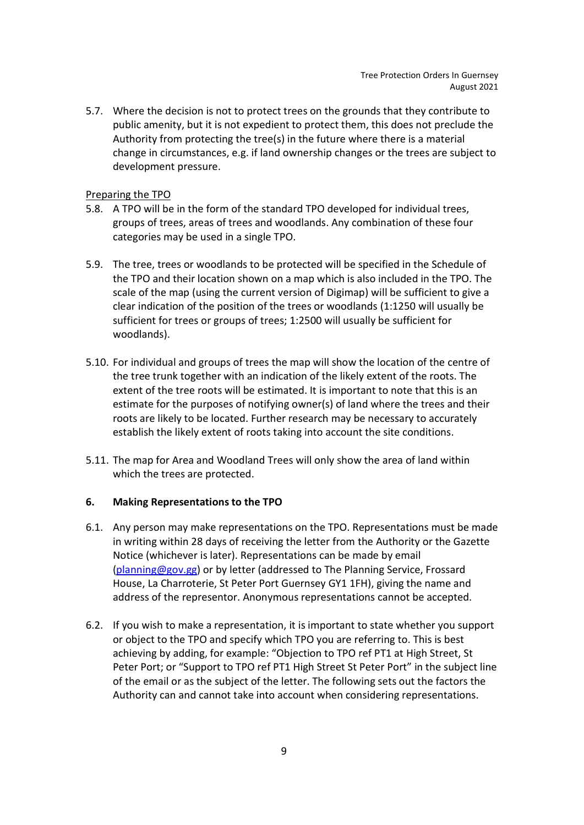5.7. Where the decision is not to protect trees on the grounds that they contribute to public amenity, but it is not expedient to protect them, this does not preclude the Authority from protecting the tree(s) in the future where there is a material change in circumstances, e.g. if land ownership changes or the trees are subject to development pressure.

## Preparing the TPO

- 5.8. A TPO will be in the form of the standard TPO developed for individual trees, groups of trees, areas of trees and woodlands. Any combination of these four categories may be used in a single TPO.
- 5.9. The tree, trees or woodlands to be protected will be specified in the Schedule of the TPO and their location shown on a map which is also included in the TPO. The scale of the map (using the current version of Digimap) will be sufficient to give a clear indication of the position of the trees or woodlands (1:1250 will usually be sufficient for trees or groups of trees; 1:2500 will usually be sufficient for woodlands).
- 5.10. For individual and groups of trees the map will show the location of the centre of the tree trunk together with an indication of the likely extent of the roots. The extent of the tree roots will be estimated. It is important to note that this is an estimate for the purposes of notifying owner(s) of land where the trees and their roots are likely to be located. Further research may be necessary to accurately establish the likely extent of roots taking into account the site conditions.
- 5.11. The map for Area and Woodland Trees will only show the area of land within which the trees are protected.

## 6. Making Representations to the TPO

- 6.1. Any person may make representations on the TPO. Representations must be made in writing within 28 days of receiving the letter from the Authority or the Gazette Notice (whichever is later). Representations can be made by email (planning@gov.gg) or by letter (addressed to The Planning Service, Frossard House, La Charroterie, St Peter Port Guernsey GY1 1FH), giving the name and address of the representor. Anonymous representations cannot be accepted.
- 6.2. If you wish to make a representation, it is important to state whether you support or object to the TPO and specify which TPO you are referring to. This is best achieving by adding, for example: "Objection to TPO ref PT1 at High Street, St Peter Port; or "Support to TPO ref PT1 High Street St Peter Port" in the subject line of the email or as the subject of the letter. The following sets out the factors the Authority can and cannot take into account when considering representations.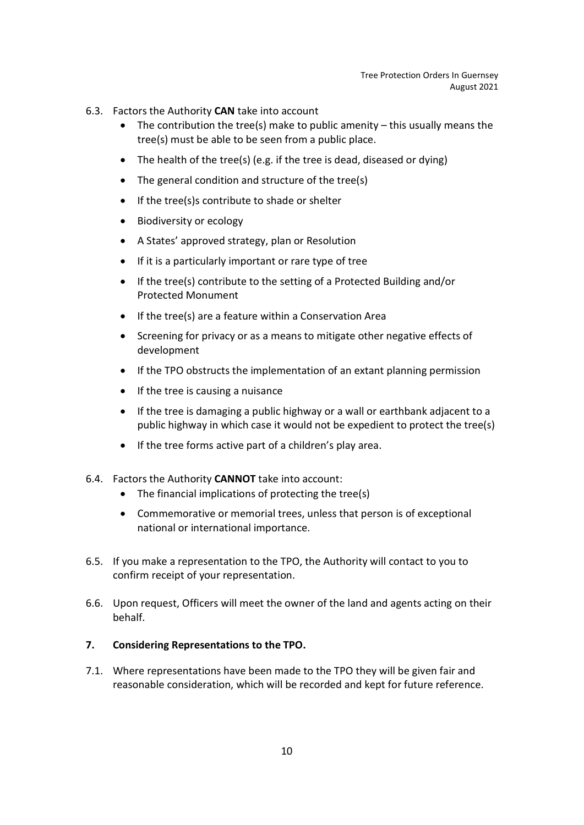- 6.3. Factors the Authority CAN take into account
	- The contribution the tree(s) make to public amenity  $-$  this usually means the tree(s) must be able to be seen from a public place.
	- The health of the tree(s) (e.g. if the tree is dead, diseased or dying)
	- The general condition and structure of the tree(s)
	- If the tree(s)s contribute to shade or shelter
	- Biodiversity or ecology
	- A States' approved strategy, plan or Resolution
	- If it is a particularly important or rare type of tree
	- If the tree(s) contribute to the setting of a Protected Building and/or Protected Monument
	- If the tree(s) are a feature within a Conservation Area
	- Screening for privacy or as a means to mitigate other negative effects of development
	- If the TPO obstructs the implementation of an extant planning permission
	- $\bullet$  If the tree is causing a nuisance
	- If the tree is damaging a public highway or a wall or earthbank adjacent to a public highway in which case it would not be expedient to protect the tree(s)
	- If the tree forms active part of a children's play area.
- 6.4. Factors the Authority CANNOT take into account:
	- The financial implications of protecting the tree(s)
	- Commemorative or memorial trees, unless that person is of exceptional national or international importance.
- 6.5. If you make a representation to the TPO, the Authority will contact to you to confirm receipt of your representation.
- 6.6. Upon request, Officers will meet the owner of the land and agents acting on their behalf.

## 7. Considering Representations to the TPO.

7.1. Where representations have been made to the TPO they will be given fair and reasonable consideration, which will be recorded and kept for future reference.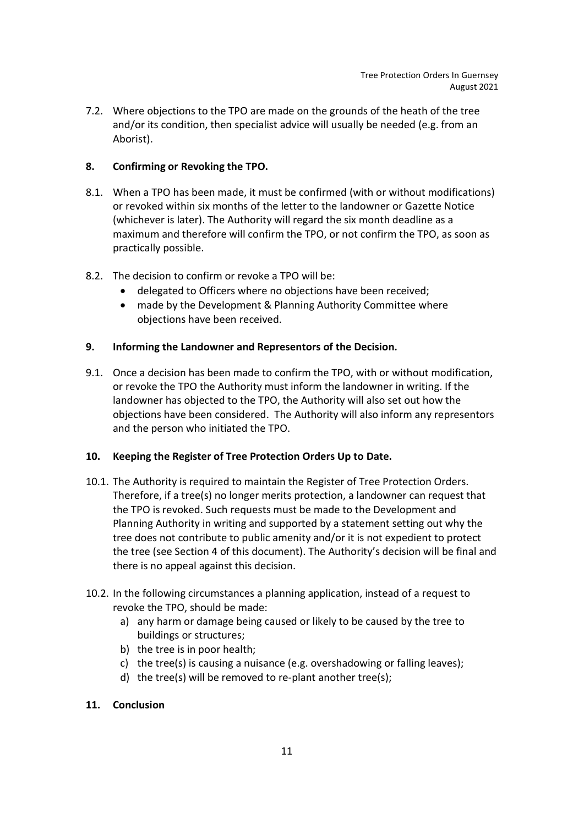7.2. Where objections to the TPO are made on the grounds of the heath of the tree and/or its condition, then specialist advice will usually be needed (e.g. from an Aborist).

# 8. Confirming or Revoking the TPO.

- 8.1. When a TPO has been made, it must be confirmed (with or without modifications) or revoked within six months of the letter to the landowner or Gazette Notice (whichever is later). The Authority will regard the six month deadline as a maximum and therefore will confirm the TPO, or not confirm the TPO, as soon as practically possible.
- 8.2. The decision to confirm or revoke a TPO will be:
	- delegated to Officers where no objections have been received;
	- made by the Development & Planning Authority Committee where objections have been received.

## 9. Informing the Landowner and Representors of the Decision.

9.1. Once a decision has been made to confirm the TPO, with or without modification, or revoke the TPO the Authority must inform the landowner in writing. If the landowner has objected to the TPO, the Authority will also set out how the objections have been considered. The Authority will also inform any representors and the person who initiated the TPO.

## 10. Keeping the Register of Tree Protection Orders Up to Date.

- 10.1. The Authority is required to maintain the Register of Tree Protection Orders. Therefore, if a tree(s) no longer merits protection, a landowner can request that the TPO is revoked. Such requests must be made to the Development and Planning Authority in writing and supported by a statement setting out why the tree does not contribute to public amenity and/or it is not expedient to protect the tree (see Section 4 of this document). The Authority's decision will be final and there is no appeal against this decision.
- 10.2. In the following circumstances a planning application, instead of a request to revoke the TPO, should be made:
	- a) any harm or damage being caused or likely to be caused by the tree to buildings or structures;
	- b) the tree is in poor health;
	- c) the tree(s) is causing a nuisance (e.g. overshadowing or falling leaves);
	- d) the tree(s) will be removed to re-plant another tree(s);

## 11. Conclusion